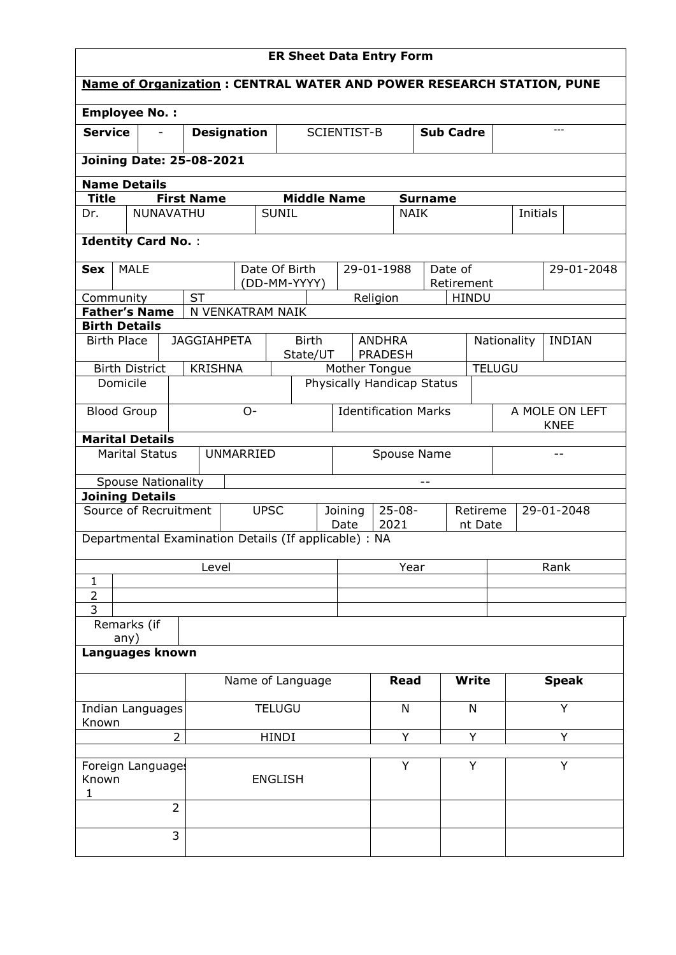| <b>ER Sheet Data Entry Form</b>                       |                           |                    |                                   |               |                             |                                                               |                  |                |                            |              |                |             |                                                                                                                                                                                                     |  |  |
|-------------------------------------------------------|---------------------------|--------------------|-----------------------------------|---------------|-----------------------------|---------------------------------------------------------------|------------------|----------------|----------------------------|--------------|----------------|-------------|-----------------------------------------------------------------------------------------------------------------------------------------------------------------------------------------------------|--|--|
|                                                       |                           |                    |                                   |               |                             |                                                               |                  |                |                            |              |                |             |                                                                                                                                                                                                     |  |  |
| <b>Employee No.:</b>                                  |                           |                    |                                   |               |                             |                                                               |                  |                |                            |              |                |             |                                                                                                                                                                                                     |  |  |
| <b>Service</b>                                        |                           |                    | SCIENTIST-B<br><b>Designation</b> |               |                             |                                                               | <b>Sub Cadre</b> |                |                            |              |                | $---$       |                                                                                                                                                                                                     |  |  |
| <b>Joining Date: 25-08-2021</b>                       |                           |                    |                                   |               |                             |                                                               |                  |                |                            |              |                |             |                                                                                                                                                                                                     |  |  |
| <b>Name Details</b>                                   |                           |                    |                                   |               |                             |                                                               |                  |                |                            |              |                |             |                                                                                                                                                                                                     |  |  |
| <b>Title</b>                                          |                           | <b>First Name</b>  |                                   |               | <b>Middle Name</b>          |                                                               |                  |                | <b>Surname</b>             |              |                |             |                                                                                                                                                                                                     |  |  |
| Dr.                                                   | <b>NUNAVATHU</b>          |                    |                                   | <b>SUNIL</b>  |                             |                                                               |                  | <b>NAIK</b>    |                            |              |                |             |                                                                                                                                                                                                     |  |  |
| <b>Identity Card No.:</b>                             |                           |                    |                                   |               |                             |                                                               |                  |                |                            |              |                |             |                                                                                                                                                                                                     |  |  |
| <b>MALE</b><br><b>Sex</b>                             |                           |                    |                                   | Date Of Birth |                             |                                                               | 29-01-1988       |                | Date of                    |              |                |             | <b>Name of Organization: CENTRAL WATER AND POWER RESEARCH STATION, PUNE</b><br>Initials<br>29-01-2048<br><b>INDIAN</b><br><b>KNEE</b><br>$- -$<br>29-01-2048<br>Rank<br><b>Speak</b><br>Y<br>Y<br>Y |  |  |
| Community                                             |                           | <b>ST</b>          |                                   |               | (DD-MM-YYYY)                |                                                               | Religion         |                | Retirement                 | <b>HINDU</b> |                |             |                                                                                                                                                                                                     |  |  |
| <b>Father's Name</b>                                  |                           |                    | N VENKATRAM NAIK                  |               |                             |                                                               |                  |                |                            |              |                |             |                                                                                                                                                                                                     |  |  |
| <b>Birth Details</b>                                  |                           |                    |                                   |               |                             |                                                               |                  |                |                            |              |                |             |                                                                                                                                                                                                     |  |  |
| <b>Birth Place</b>                                    |                           | <b>JAGGIAHPETA</b> |                                   |               | <b>Birth</b><br>State/UT    |                                                               | <b>ANDHRA</b>    | <b>PRADESH</b> |                            |              |                | Nationality |                                                                                                                                                                                                     |  |  |
| <b>Birth District</b>                                 |                           | <b>KRISHNA</b>     |                                   |               |                             | Mother Tongue                                                 |                  |                |                            |              | <b>TELUGU</b>  |             |                                                                                                                                                                                                     |  |  |
| Domicile                                              |                           |                    |                                   |               |                             |                                                               |                  |                | Physically Handicap Status |              |                |             |                                                                                                                                                                                                     |  |  |
| <b>Blood Group</b><br>$O-$                            |                           |                    |                                   |               | <b>Identification Marks</b> |                                                               |                  |                |                            |              | A MOLE ON LEFT |             |                                                                                                                                                                                                     |  |  |
| <b>Marital Details</b>                                |                           |                    |                                   |               |                             |                                                               |                  |                |                            |              |                |             |                                                                                                                                                                                                     |  |  |
|                                                       | <b>Marital Status</b>     |                    | <b>UNMARRIED</b>                  |               |                             |                                                               |                  | Spouse Name    |                            |              |                |             |                                                                                                                                                                                                     |  |  |
|                                                       | <b>Spouse Nationality</b> |                    |                                   |               |                             |                                                               |                  |                | $-$                        |              |                |             |                                                                                                                                                                                                     |  |  |
| <b>Joining Details</b>                                |                           |                    |                                   |               |                             |                                                               |                  |                |                            |              |                |             |                                                                                                                                                                                                     |  |  |
| Source of Recruitment                                 |                           |                    |                                   | <b>UPSC</b>   |                             | $25 - 08 -$<br>Joining<br>Retireme<br>2021<br>Date<br>nt Date |                  |                |                            |              |                |             |                                                                                                                                                                                                     |  |  |
| Departmental Examination Details (If applicable) : NA |                           |                    |                                   |               |                             |                                                               |                  |                |                            |              |                |             |                                                                                                                                                                                                     |  |  |
|                                                       |                           | Level              |                                   |               |                             |                                                               | Year             |                |                            |              |                |             |                                                                                                                                                                                                     |  |  |
| $\mathbf{1}$                                          |                           |                    |                                   |               |                             |                                                               |                  |                |                            |              |                |             |                                                                                                                                                                                                     |  |  |
| $\overline{2}$<br>$\overline{3}$                      |                           |                    |                                   |               |                             |                                                               |                  |                |                            |              |                |             |                                                                                                                                                                                                     |  |  |
| Remarks (if                                           |                           |                    |                                   |               |                             |                                                               |                  |                |                            |              |                |             |                                                                                                                                                                                                     |  |  |
| any)<br>Languages known                               |                           |                    |                                   |               |                             |                                                               |                  |                |                            |              |                |             |                                                                                                                                                                                                     |  |  |
|                                                       |                           |                    |                                   |               | Name of Language            |                                                               |                  | <b>Read</b>    |                            | <b>Write</b> |                |             |                                                                                                                                                                                                     |  |  |
|                                                       | Indian Languages          |                    |                                   | <b>TELUGU</b> |                             |                                                               |                  | N              |                            | N            |                |             |                                                                                                                                                                                                     |  |  |
| Known<br>$\overline{2}$                               |                           |                    | HINDI                             |               |                             |                                                               | Υ                |                | Y                          |              |                |             |                                                                                                                                                                                                     |  |  |
|                                                       |                           |                    |                                   |               |                             |                                                               |                  |                |                            |              |                |             |                                                                                                                                                                                                     |  |  |
| Foreign Languages<br>Known<br>1                       |                           |                    | <b>ENGLISH</b>                    |               |                             |                                                               | Y                |                | Y                          |              |                |             |                                                                                                                                                                                                     |  |  |
|                                                       | $\overline{2}$            |                    |                                   |               |                             |                                                               |                  |                |                            |              |                |             |                                                                                                                                                                                                     |  |  |
|                                                       | 3                         |                    |                                   |               |                             |                                                               |                  |                |                            |              |                |             |                                                                                                                                                                                                     |  |  |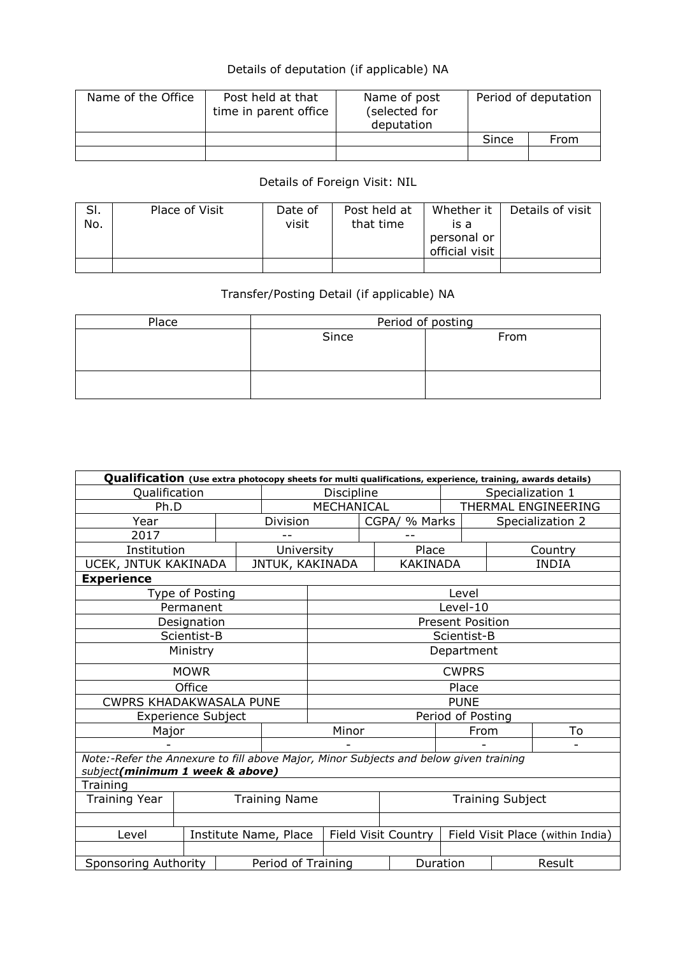## Details of deputation (if applicable) NA

| Name of the Office | Post held at that<br>time in parent office | Name of post<br>(selected for<br>deputation |       | Period of deputation |  |
|--------------------|--------------------------------------------|---------------------------------------------|-------|----------------------|--|
|                    |                                            |                                             | Since | From                 |  |
|                    |                                            |                                             |       |                      |  |

## Details of Foreign Visit: NIL

| SI.<br>No. | Place of Visit | Date of<br>visit | Post held at<br>that time | Whether it<br>is a<br>personal or<br>official visit | Details of visit |
|------------|----------------|------------------|---------------------------|-----------------------------------------------------|------------------|
|            |                |                  |                           |                                                     |                  |

## Transfer/Posting Detail (if applicable) NA

| Place | Period of posting |      |  |  |  |  |  |  |
|-------|-------------------|------|--|--|--|--|--|--|
|       | Since             | From |  |  |  |  |  |  |
|       |                   |      |  |  |  |  |  |  |
|       |                   |      |  |  |  |  |  |  |
|       |                   |      |  |  |  |  |  |  |
|       |                   |      |  |  |  |  |  |  |

| Qualification (Use extra photocopy sheets for multi qualifications, experience, training, awards details) |                           |  |                     |                   |  |                 |                                                                                                                                   |                         |                  |  |  |
|-----------------------------------------------------------------------------------------------------------|---------------------------|--|---------------------|-------------------|--|-----------------|-----------------------------------------------------------------------------------------------------------------------------------|-------------------------|------------------|--|--|
| Qualification                                                                                             |                           |  |                     | Discipline        |  |                 |                                                                                                                                   | Specialization 1        |                  |  |  |
| Ph.D                                                                                                      |                           |  |                     | MECHANICAL        |  |                 |                                                                                                                                   | THERMAL ENGINEERING     |                  |  |  |
| Year                                                                                                      |                           |  | Division            |                   |  | CGPA/ % Marks   |                                                                                                                                   |                         | Specialization 2 |  |  |
| 2017                                                                                                      |                           |  |                     |                   |  |                 |                                                                                                                                   |                         |                  |  |  |
| Institution                                                                                               |                           |  | University          |                   |  | Place           |                                                                                                                                   |                         |                  |  |  |
| UCEK, JNTUK KAKINADA                                                                                      |                           |  |                     | JNTUK, KAKINADA   |  | <b>KAKINADA</b> |                                                                                                                                   |                         | <b>INDIA</b>     |  |  |
| <b>Experience</b>                                                                                         |                           |  |                     |                   |  |                 |                                                                                                                                   |                         |                  |  |  |
|                                                                                                           | Type of Posting           |  |                     |                   |  |                 | Level                                                                                                                             |                         |                  |  |  |
|                                                                                                           | Permanent                 |  |                     |                   |  |                 | Country<br>Level-10<br><b>Present Position</b><br>Scientist-B<br>Department<br><b>CWPRS</b><br>Place<br><b>PUNE</b><br>To<br>From |                         |                  |  |  |
|                                                                                                           | Designation               |  |                     |                   |  |                 |                                                                                                                                   |                         |                  |  |  |
|                                                                                                           | Scientist-B               |  |                     |                   |  |                 |                                                                                                                                   |                         |                  |  |  |
|                                                                                                           | Ministry                  |  |                     |                   |  |                 |                                                                                                                                   |                         |                  |  |  |
|                                                                                                           | <b>MOWR</b>               |  |                     |                   |  |                 |                                                                                                                                   |                         |                  |  |  |
|                                                                                                           | Office                    |  |                     |                   |  |                 |                                                                                                                                   |                         |                  |  |  |
| <b>CWPRS KHADAKWASALA PUNE</b>                                                                            |                           |  |                     |                   |  |                 |                                                                                                                                   |                         |                  |  |  |
|                                                                                                           | <b>Experience Subject</b> |  |                     | Period of Posting |  |                 |                                                                                                                                   |                         |                  |  |  |
| Major                                                                                                     |                           |  |                     | Minor             |  |                 |                                                                                                                                   |                         |                  |  |  |
|                                                                                                           |                           |  |                     | Ξ.                |  |                 |                                                                                                                                   |                         |                  |  |  |
| Note:-Refer the Annexure to fill above Major, Minor Subjects and below given training                     |                           |  |                     |                   |  |                 |                                                                                                                                   |                         |                  |  |  |
| subject(minimum 1 week & above)                                                                           |                           |  |                     |                   |  |                 |                                                                                                                                   |                         |                  |  |  |
| Training                                                                                                  |                           |  |                     |                   |  |                 |                                                                                                                                   |                         |                  |  |  |
| <b>Training Year</b>                                                                                      | <b>Training Name</b>      |  |                     |                   |  |                 |                                                                                                                                   | <b>Training Subject</b> |                  |  |  |
|                                                                                                           |                           |  |                     |                   |  |                 |                                                                                                                                   |                         |                  |  |  |
| Level<br>Institute Name, Place                                                                            |                           |  | Field Visit Country |                   |  |                 | Field Visit Place (within India)                                                                                                  |                         |                  |  |  |
|                                                                                                           |                           |  |                     |                   |  |                 |                                                                                                                                   |                         |                  |  |  |
| Sponsoring Authority                                                                                      |                           |  | Period of Training  |                   |  |                 | Duration                                                                                                                          |                         | Result           |  |  |